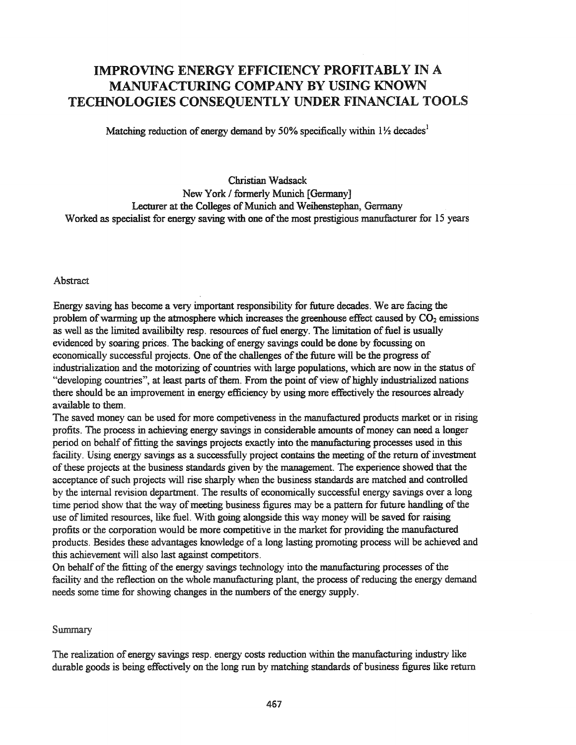# IMPROVING ENERGY EFFICIENCY PROFITABLY IN A MANUFACTURING COMPANY BY USING KNOWN TECHNOLOGIES CONSEQUENTLY UNDER FINANCIAL TOOLS

Matching reduction of energy demand by 50% specifically within  $1\frac{1}{2}$  decades<sup>1</sup>

## Christian Wadsack New York / formerly Munich [Germany] Lecturer at the Colleges of Munich and Weihenstephan, Germany Worked as specialist for energy saving with one of the most prestigious manufacturer for 15 years

#### Abstract

Energy saving has become a very important responsibility for future decades. We are facing the problem of warming up the atmosphere which increases the greenhouse effect caused by  $CO<sub>2</sub>$  emissions as well as the limited availibilty resp. resources of fuel energy. The limitation of fuel is usually evidenced by soaring prices. The backing of energy savings could be done by focussing on economically successful projects. One of the challenges of the future will be the progress of industrialization and the motorizing of countries with large populations, which are now in the status of "developing countries", at least parts of them. From the point of view of highly industrialized nations there should be an improvement in energy efficiency by using more effectively the resources already available to them.

The saved money can be used for more competiveness in the manufactured products market or in rising profits. The process in achieving energy savings in considerable amounts of money can need a longer period on behalf of fitting the savings projects exactly into the manufacturing processes used in this facility. Using energy savings as a successfully project contains the meeting of the return of investment ofthese projects at the business standards given by the management. The experience showed that the acceptance of such projects will rise sharply when the business standards are matched and controlled by the internal revision department. The results of economically successful energy savings over a long time period show that the way of meeting business figures may be a pattern for future handling of the use of limited resources, like fuel. With going alongside this way money will be saved for raising profits or the corporation would be more competitive in the market for providing the manufactured products. Besides these advantages knowledge of a long lasting promoting process will be achieved and this achievement will also last against competitors.

On behalf of the fitting of the energy savings technology into the manufacturing processes of the facility and the reflection on the whole manufacturing plant, the process of reducing the energy demand needs some time for showing changes in the numbers of the energy supply.

### Summary

The realization of energy savings resp. energy costs reduction within the manufacturing industry like durable goods is being effectively on the long run by matching standards of business figures like return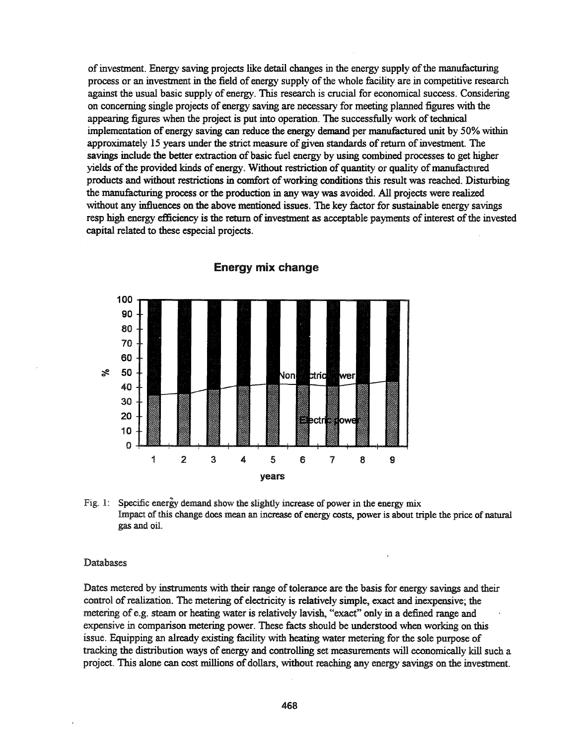ofinvestment. Energy saving projects like detail changes in the energy supply ofthe manufacturing process or an investment in the field ofenergy supply ofthe whole facility are in competitive research against the usual basic supply of energy. This research is crucial for economical success. Considering on concerning single projects of energy saving are necessary for meeting planned figures with the appearing figures when the project is put into operation. The successfully work oftechnical implementation of energy saving can reduce the energy demand per manufactured unit by 50% within approximately 15 years under the strict measure of given standards of return of investment. The savings include the better extraction of basic fuel energy by using combined processes to get higher yields of the provided kinds of energy. Without restriction of quantity or quality of manufactured products and without restrictions in comfort of working conditions this result was reached. Disturbing the manufacturing process or the production in any way was avoided. All projects were realized without any influences on the above mentioned issues. The key factor for sustainable energy savings resp high energy efficiency is the return of investment as acceptable payments of interest of the invested capital related to these especial projects.



Energy mix change

Fig. 1: Specific energy demand show the slightly increase of power in the energy mix Impact of this change does mean an increase of energy costs, power is about triple the price of natural gas and oil.

#### Databases

Dates metered by instruments with their range of tolerance are the basis for energy savings and their control ofrealization. The metering of electricity is relatively simple, exact and inexpensive; the metering of e.g. steam or heating water is relatively lavish, "exact" only in a defined range and expensive in comparison metering power. These facts should be understood when working on this issue. Equipping an already existing facility with heating water metering for the sole purpose of tracking the distribution ways of energy and controlling set measurements will economically kill such a project. This alone can cost millions of dollars, without reaching any energy savings on the investment.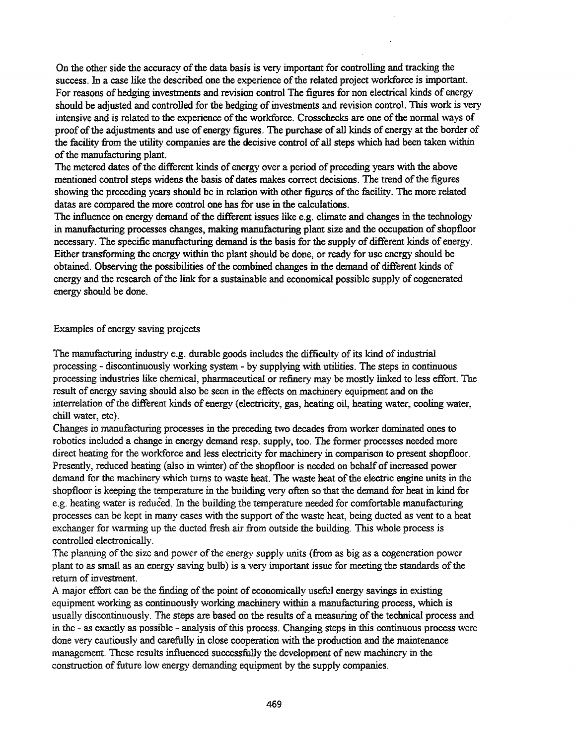On the other side the accuracy of the data basis is very important for controlling and tracking the success. In a case like the described one the experience of the related project workforce is important. For reasons of hedging investments and revision control The figures for non electrical kinds of energy should be adjusted and controlled for the hedging of investments and revision control. This work is very intensive and is related to the experience of the workforce. Crosschecks are one of the normal ways of proof of the adjustments and use of energy figures. The purchase of all kinds of energy at the border of the facility from the utility companies are the decisive control of all steps which had been taken within of the manufacturing plant.

The metered dates of the different kinds of energy over a period of preceding years with the above mentioned control steps widens the basis of dates makes correct decisions. The trend of the figures showing the preceding years should be in relation with other figures of the facility. The more related datas are compared the more control one has for use in the calculations.

The influence on energy demand of the different issues like e.g. climate and changes in the technology in manufacturing processes changes, making manufacturing plant size and the occupation of shopfloor necessary. The specific manufacturing demand is the basis for the supply of different kinds of energy. Either transforming the energy within the plant should be done, or ready for use energy should be obtained. Observing the possibilities of the combined changes in the demand of different kinds of energy and the research of the link for a sustainable and economical possible supply of cogenerated energy should be done.

### Examples of energy saving projects

The manufacturing industry e.g. durable goods includes the difficulty of its kind of industrial processing - discontinuously working system - by supplying with utilities. The steps in continuous processing industries like chemical, pharmaceutical or refinery may be mostly linked to less effort. The result of energy saving should also be seen in the effects on machinery equipment and on the interrelation of the different kinds of energy (electricity, gas, heating oil, heating water, cooling water, chill water, etc).

Changes in manufacturing processes in the preceding two decades from worker dominated ones to robotics included a change in energy demand resp. supply, too. The former processes needed more direct heating for the workforce and less electricity for machinery in comparison to present shopfloor. Presently, reduced heating (also in winter) of the shopfloor is needed on behalf of increased power demand for the machinery which turns to waste heat. The waste heat of the electric engine units in the shopfloor is keeping the temperature in the building very often so that the demand for heat in kind for e.g. heating water is reduced. In the building the temperature needed for comfortable manufacturing processes can be kept in many cases with the support of the waste heat, being ducted as vent to a heat exchanger for warming up the ducted fresh air from outside the building. This whole process is controlled electronically.

The planning of the size and power of the energy supply units (from as big as a cogeneration power plant to as small as an energy saving bulb) is a very important issue for meeting the standards ofthe return of investment.

A major effort can be the finding of the point of economically useful energy savings in existing equipment working as continuously working machinery within a manufacturing process, which is usually discontinuously. The steps are based on the results of a measuring of the technical process and in the - as exactly as possible - analysis of this process. Changing steps in this continuous process were done very cautiously and carefully in close cooperation with the production and the maintenance management. These results influenced successfully the development of new machinery in the construction of future low energy demanding equipment by the supply companies.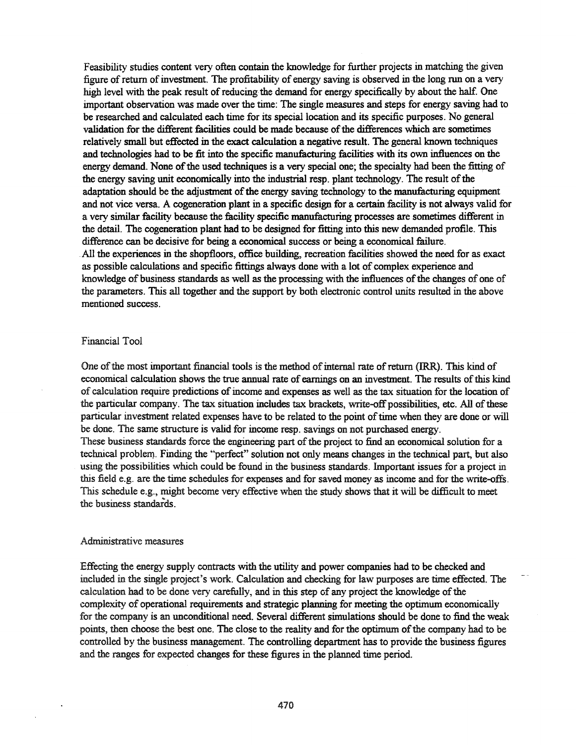Feasibility studies content very often contain the knowledge for further projects in matching the given figure of return of investment. The profitability of energy saving is observed in the long run on a very high level with the peak result of reducing the demand for energy specifically by about the half. One important observation was made over the time: The single measures and steps for energy saving had to be researched and calculated each time for its special location and its specific purposes. No general validation for the different facilities could be made because of the differences which are sometimes relatively small but effected in the exact calculation a negative result. The general known techniques and technologies had to be fit into the specific manufacturing facilities with its own influences on the energy demand. None of the used techniques is a very special one; the specialty had been the fitting of the energy saving unit economically into the industrial resp. plant technology. The result of the adaptation should be the adjustment of the energy saving technology to the manufacturing equipment and not vice versa. A cogeneration plant in a specific design for a certain facility is not always valid for a very similar facility because the facility specific manufacturing processes are sometimes different in the detail. The cogeneration plant had to be designed for fitting into this new demanded profile. This difference can be decisive for being a economical success or being a economical failure. All the experiences in the shopfloors, office building, recreation facilities showed the need for as exact as possible calculations and specific fittings always done with a lot of complex experience and knowledge of business standards as well as the processing with the influences of the changes of one of the parameters. This all together and the support by both electronic control units resulted in the above mentioned success.

#### Financial Tool

One of the most important financial tools is the method of internal rate of return (IRR). This kind of economical calculation shows the true annual rate of earnings on an investment. The results ofthis kind of calculation require predictions of income and expenses as well as the tax situation for the location of the particular company. The tax situation includes tax brackets, write-off possibilities, etc. All of these particular investment related expenses have to be related to the point of time when they are done or will be done. The same structure is valid for income resp. savings on not purchased energy.

These business standards force the engineering part of the project to find an economical solution for a technical problem. Finding the "perfect" solution nct only means changes in the technical part, but also using the possibilities which could be found in the business standards. Important issues for a project in this field e.g. are the time schedules for expenses and for saved money as income and for the write-offs\_ This schedule e.g., might become very effective when the study shows that it will be difficult to meet the business standards.

#### Administrative measures

Effecting the energy supply contracts with the utility and power companies had to be checked and included in the single project's work. Calculation and checking for law purposes are time effected. The calculation had to be done very carefully, and in this step of any project the knowledge ofthe complexity of operational requirements and strategic planning for meeting the optimum economically for the company is an unconditional need. Several different simulations should be done to find the weak points, then choose the best one. The close to the reality and for the optimum of the company had to be controlled by the business management. The controlling department has to provide the business figures and the ranges for expected changes for these figures in the planned time period.